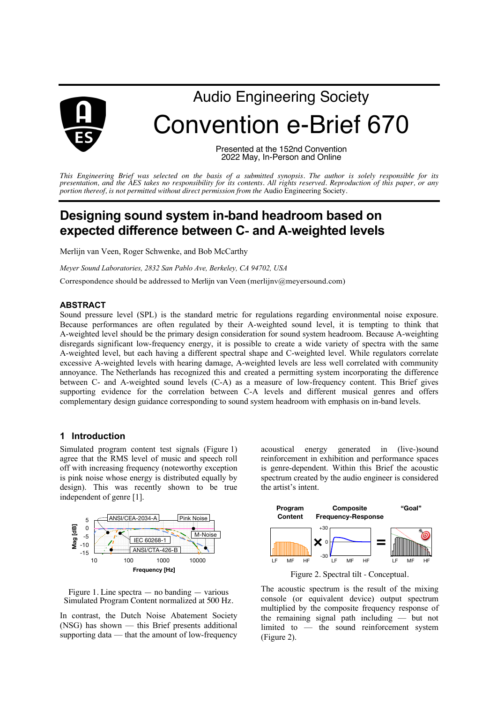

# Audio Engineering Society Convention e-Brief 670

Presented at the 152nd Convention 2022 May, In-Person and Online

*This Engineering Brief was selected on the basis of a submitted synopsis. The author is solely responsible for its presentation, and the AES takes no responsibility for its contents. All rights reserved. Reproduction of this paper, or any portion thereof, is not permitted without direct permission from the* Audio Engineering Society.

# **Designing sound system in-band headroom based on expected difference between C**- **and A**-**weighted levels**

Merlijn van Veen, Roger Schwenke, and Bob McCarthy

*Meyer Sound Laboratories, 2832 San Pablo Ave, Berkeley, CA 94702, USA*

Correspondence should be addressed to Merlijn van Veen (merlijnv@meyersound.com)

#### **ABSTRACT**

Sound pressure level (SPL) is the standard metric for regulations regarding environmental noise exposure. Because performances are often regulated by their A-weighted sound level, it is tempting to think that A-weighted level should be the primary design consideration for sound system headroom. Because A-weighting disregards significant low-frequency energy, it is possible to create a wide variety of spectra with the same A-weighted level, but each having a different spectral shape and C-weighted level. While regulators correlate excessive A-weighted levels with hearing damage, A-weighted levels are less well correlated with community annoyance. The Netherlands has recognized this and created a permitting system incorporating the difference between C- and A-weighted sound levels (C-A) as a measure of low-frequency content. This Brief gives supporting evidence for the correlation between C-A levels and different musical genres and offers complementary design guidance corresponding to sound system headroom with emphasis on in-band levels.

### **1 Introduction**

Simulated program content test signals (Figure 1) agree that the RMS level of music and speech roll off with increasing frequency (noteworthy exception is pink noise whose energy is distributed equally by design). This was recently shown to be true independent of genre [1].



Figure 1. Line spectra — no banding — various Simulated Program Content normalized at 500 Hz.

In contrast, the Dutch Noise Abatement Society (NSG) has shown — this Brief presents additional supporting data — that the amount of low-frequency

acoustical energy generated in (live-)sound reinforcement in exhibition and performance spaces is genre-dependent. Within this Brief the acoustic spectrum created by the audio engineer is considered the artist's intent.



Figure 2. Spectral tilt - Conceptual.

The acoustic spectrum is the result of the mixing console (or equivalent device) output spectrum multiplied by the composite frequency response of the remaining signal path including — but not limited to — the sound reinforcement system (Figure 2).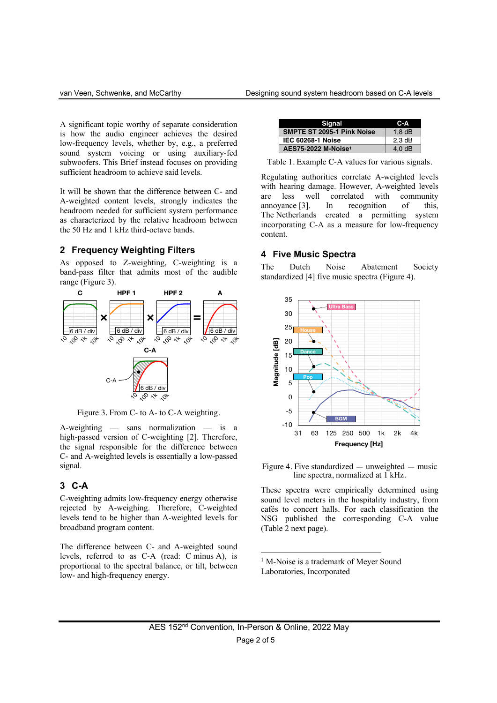A significant topic worthy of separate consideration is how the audio engineer achieves the desired low-frequency levels, whether by, e.g., a preferred sound system voicing or using auxiliary-fed subwoofers. This Brief instead focuses on providing sufficient headroom to achieve said levels.

It will be shown that the difference between C- and A-weighted content levels, strongly indicates the headroom needed for sufficient system performance as characterized by the relative headroom between the 50 Hz and 1 kHz third-octave bands.

#### **2 Frequency Weighting Filters**

As opposed to Z-weighting, C-weighting is a band-pass filter that admits most of the audible range (Figure 3).



Figure 3. From C- to A- to C-A weighting.

A-weighting — sans normalization — is a high-passed version of C-weighting [2]. Therefore, the signal responsible for the difference between C- and A-weighted levels is essentially a low-passed signal.

#### **3 C-A**

C-weighting admits low-frequency energy otherwise rejected by A-weighing. Therefore, C-weighted levels tend to be higher than A-weighted levels for broadband program content.

The difference between C- and A-weighted sound levels, referred to as C-A (read: C minus A), is proportional to the spectral balance, or tilt, between low- and high-frequency energy.

| Signal                            | C-A      |
|-----------------------------------|----------|
| <b>SMPTE ST 2095-1 Pink Noise</b> | $1,8$ dB |
| <b>IEC 60268-1 Noise</b>          | $2,3$ dB |
| AES75-2022 M-Noise1               | 4.0dB    |

Table 1. Example C-A values for various signals.

Regulating authorities correlate A-weighted levels with hearing damage. However, A-weighted levels are less well correlated with community annoyance [3]. In recognition of this, The Netherlands created a permitting system incorporating C-A as a measure for low-frequency content.

#### **4 Five Music Spectra**

The Dutch Noise Abatement Society standardized [4] five music spectra (Figure 4).



Figure 4. Five standardized — unweighted — music line spectra, normalized at 1 kHz.

These spectra were empirically determined using sound level meters in the hospitality industry, from cafés to concert halls. For each classification the NSG published the corresponding C-A value (Table 2 next page).

<sup>1</sup> M-Noise is a trademark of Meyer Sound Laboratories, Incorporated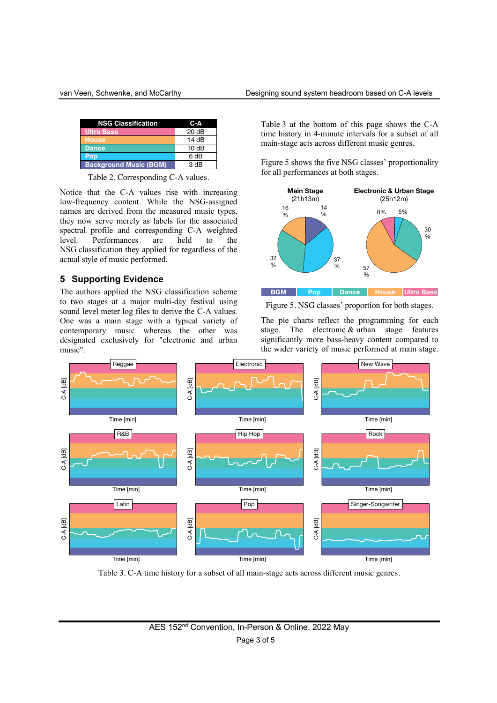| <b>NSG Classification</b>     | $C-A$ |
|-------------------------------|-------|
| <b>Ultra Bass</b>             | 20 dB |
| <b>House</b>                  | 14 dB |
| <b>Dance</b>                  | 10dB  |
| Pop                           | 6 dB  |
| <b>Background Music (BGM)</b> | 3 dB  |

Table 2. Corresponding C-A values.

Notice that the C-A values rise with increasing low-frequency content. While the NSG-assigned names are derived from the measured music types, they now serve merely as labels for the associated spectral profile and corresponding C-A weighted level. Performances are held to the NSG classification they applied for regardless of the actual style of music performed.

## **5 Supporting Evidence**

The authors applied the NSG classification scheme to two stages at a major multi-day festival using sound level meter log files to derive the C-A values. One was a main stage with a typical variety of contemporary music whereas the other was designated exclusively for "electronic and urban music".

Table 3 at the bottom of this page shows the C-A time history in 4-minute intervals for a subset of all main-stage acts across different music genres.

Figure 5 shows the five NSG classes' proportionality for all performances at both stages.



Figure 5. NSG classes' proportion for both stages.

The pie charts reflect the programming for each stage. The electronic & urban stage features significantly more bass-heavy content compared to the wider variety of music performed at main stage.



Table 3. C-A time history for a subset of all main-stage acts across different music genres.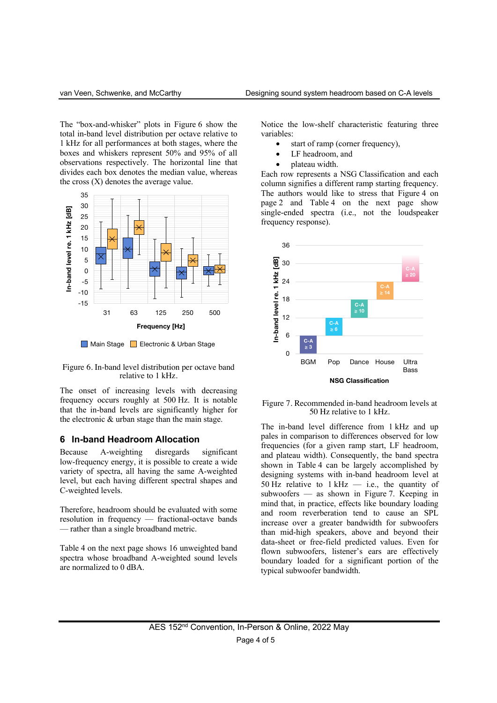The "box-and-whisker" plots in Figure 6 show the total in-band level distribution per octave relative to 1 kHz for all performances at both stages, where the boxes and whiskers represent 50% and 95% of all observations respectively. The horizontal line that divides each box denotes the median value, whereas the cross  $(X)$  denotes the average value.







The onset of increasing levels with decreasing frequency occurs roughly at 500 Hz. It is notable that the in-band levels are significantly higher for the electronic & urban stage than the main stage.

### **6 In-band Headroom Allocation**

Because A-weighting disregards significant low-frequency energy, it is possible to create a wide variety of spectra, all having the same A-weighted level, but each having different spectral shapes and C-weighted levels.

Therefore, headroom should be evaluated with some resolution in frequency — fractional-octave bands — rather than a single broadband metric.

Table 4 on the next page shows 16 unweighted band spectra whose broadband A-weighted sound levels are normalized to 0 dBA.

Notice the low-shelf characteristic featuring three variables:

- start of ramp (corner frequency),
- LF headroom, and
- plateau width.

Each row represents a NSG Classification and each column signifies a different ramp starting frequency. The authors would like to stress that Figure 4 on page 2 and Table 4 on the next page show single-ended spectra (i.e., not the loudspeaker frequency response).



#### Figure 7. Recommended in-band headroom levels at 50 Hz relative to 1 kHz.

The in-band level difference from 1 kHz and up pales in comparison to differences observed for low frequencies (for a given ramp start, LF headroom, and plateau width). Consequently, the band spectra shown in Table 4 can be largely accomplished by designing systems with in-band headroom level at 50 Hz relative to  $1$  kHz  $-$  i.e., the quantity of subwoofers — as shown in Figure 7. Keeping in mind that, in practice, effects like boundary loading and room reverberation tend to cause an SPL increase over a greater bandwidth for subwoofers than mid-high speakers, above and beyond their data-sheet or free-field predicted values. Even for flown subwoofers, listener's ears are effectively boundary loaded for a significant portion of the typical subwoofer bandwidth.